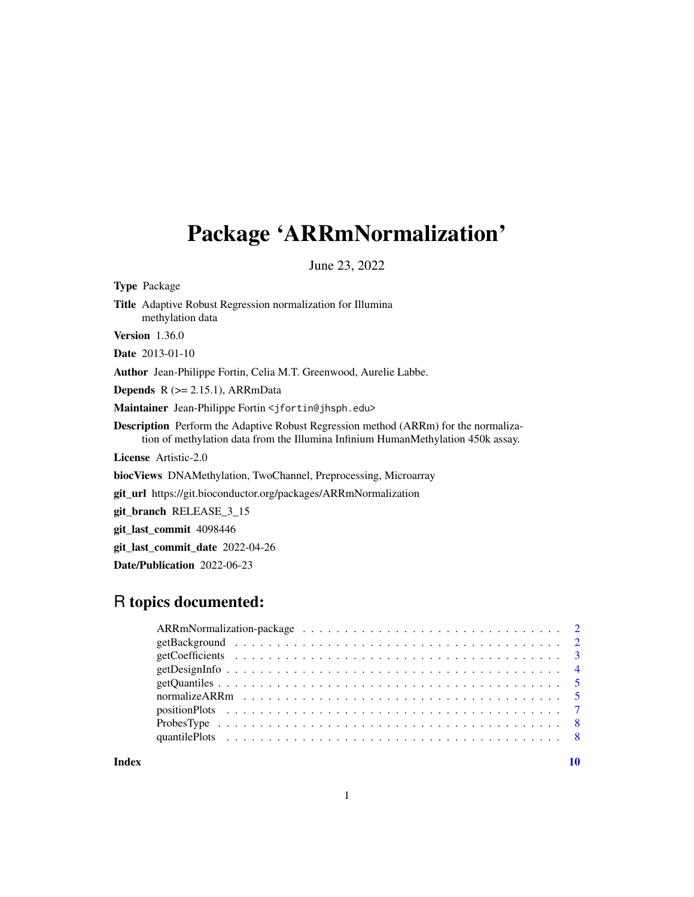# Package 'ARRmNormalization'

June 23, 2022

Type Package Title Adaptive Robust Regression normalization for Illumina methylation data Version 1.36.0 Date 2013-01-10 Author Jean-Philippe Fortin, Celia M.T. Greenwood, Aurelie Labbe. **Depends**  $R$  ( $>= 2.15.1$ ), ARRmData Maintainer Jean-Philippe Fortin <jfortin@jhsph.edu> Description Perform the Adaptive Robust Regression method (ARRm) for the normalization of methylation data from the Illumina Infinium HumanMethylation 450k assay. License Artistic-2.0 biocViews DNAMethylation, TwoChannel, Preprocessing, Microarray git\_url https://git.bioconductor.org/packages/ARRmNormalization git\_branch RELEASE\_3\_15 git\_last\_commit 4098446 git\_last\_commit\_date 2022-04-26

Date/Publication 2022-06-23

# R topics documented:

 $\blacksquare$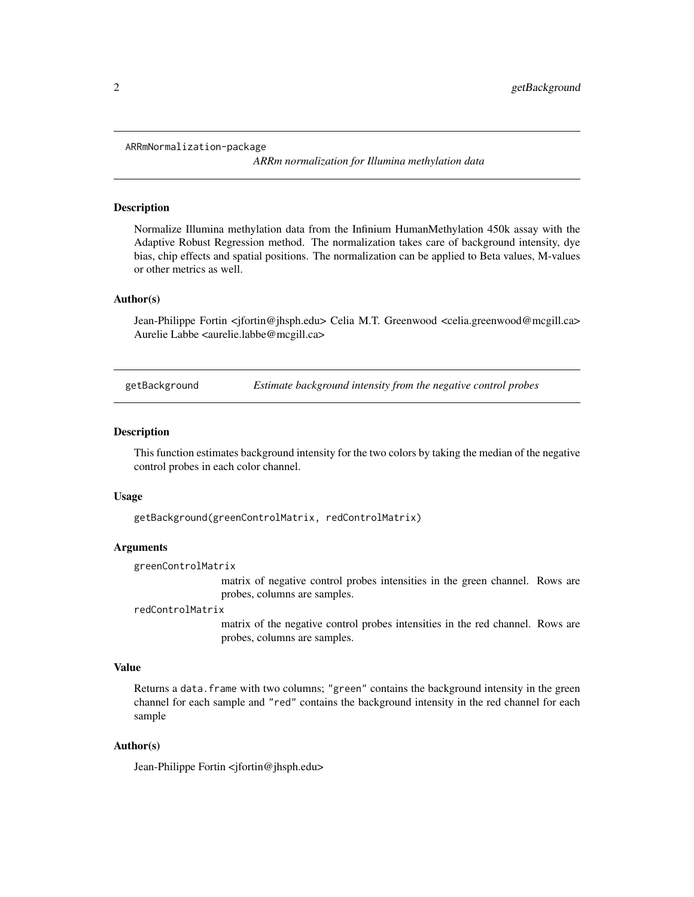```
ARRmNormalization-package
```
*ARRm normalization for Illumina methylation data*

#### Description

Normalize Illumina methylation data from the Infinium HumanMethylation 450k assay with the Adaptive Robust Regression method. The normalization takes care of background intensity, dye bias, chip effects and spatial positions. The normalization can be applied to Beta values, M-values or other metrics as well.

# Author(s)

Jean-Philippe Fortin <jfortin@jhsph.edu> Celia M.T. Greenwood <celia.greenwood@mcgill.ca> Aurelie Labbe <aurelie.labbe@mcgill.ca>

<span id="page-1-1"></span>getBackground *Estimate background intensity from the negative control probes*

#### **Description**

This function estimates background intensity for the two colors by taking the median of the negative control probes in each color channel.

#### Usage

```
getBackground(greenControlMatrix, redControlMatrix)
```
# Arguments

greenControlMatrix

matrix of negative control probes intensities in the green channel. Rows are probes, columns are samples.

redControlMatrix

matrix of the negative control probes intensities in the red channel. Rows are probes, columns are samples.

# Value

Returns a data. frame with two columns; "green" contains the background intensity in the green channel for each sample and "red" contains the background intensity in the red channel for each sample

#### Author(s)

Jean-Philippe Fortin <jfortin@jhsph.edu>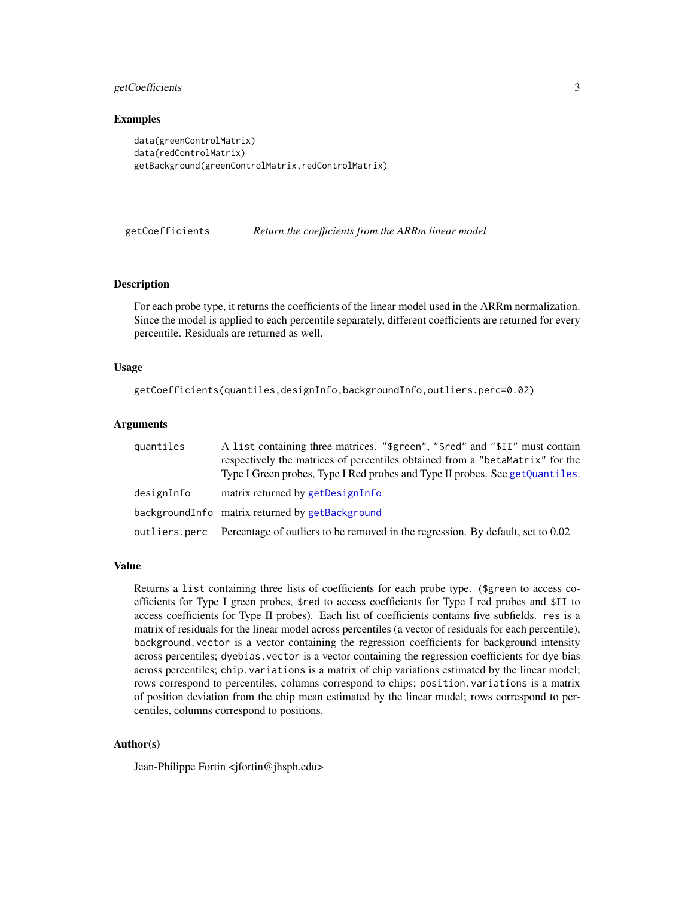# <span id="page-2-0"></span>getCoefficients 3

#### Examples

```
data(greenControlMatrix)
data(redControlMatrix)
getBackground(greenControlMatrix,redControlMatrix)
```
getCoefficients *Return the coefficients from the ARRm linear model*

#### Description

For each probe type, it returns the coefficients of the linear model used in the ARRm normalization. Since the model is applied to each percentile separately, different coefficients are returned for every percentile. Residuals are returned as well.

#### Usage

getCoefficients(quantiles,designInfo,backgroundInfo,outliers.perc=0.02)

#### Arguments

| quantiles  | A list containing three matrices. "\$green", "\$red" and "\$II" must contain<br>respectively the matrices of percentiles obtained from a "betaMatrix" for the<br>Type I Green probes, Type I Red probes and Type II probes. See getQuantiles. |
|------------|-----------------------------------------------------------------------------------------------------------------------------------------------------------------------------------------------------------------------------------------------|
| designInfo | matrix returned by getDesignInfo                                                                                                                                                                                                              |
|            | backgroundInfo matrix returned by getBackground                                                                                                                                                                                               |
|            | outliers, perc Percentage of outliers to be removed in the regression. By default, set to 0.02                                                                                                                                                |

# Value

Returns a list containing three lists of coefficients for each probe type. (\$green to access coefficients for Type I green probes, \$red to access coefficients for Type I red probes and \$II to access coefficients for Type II probes). Each list of coefficients contains five subfields. res is a matrix of residuals for the linear model across percentiles (a vector of residuals for each percentile), background.vector is a vector containing the regression coefficients for background intensity across percentiles; dyebias.vector is a vector containing the regression coefficients for dye bias across percentiles; chip.variations is a matrix of chip variations estimated by the linear model; rows correspond to percentiles, columns correspond to chips; position.variations is a matrix of position deviation from the chip mean estimated by the linear model; rows correspond to percentiles, columns correspond to positions.

#### Author(s)

Jean-Philippe Fortin <jfortin@jhsph.edu>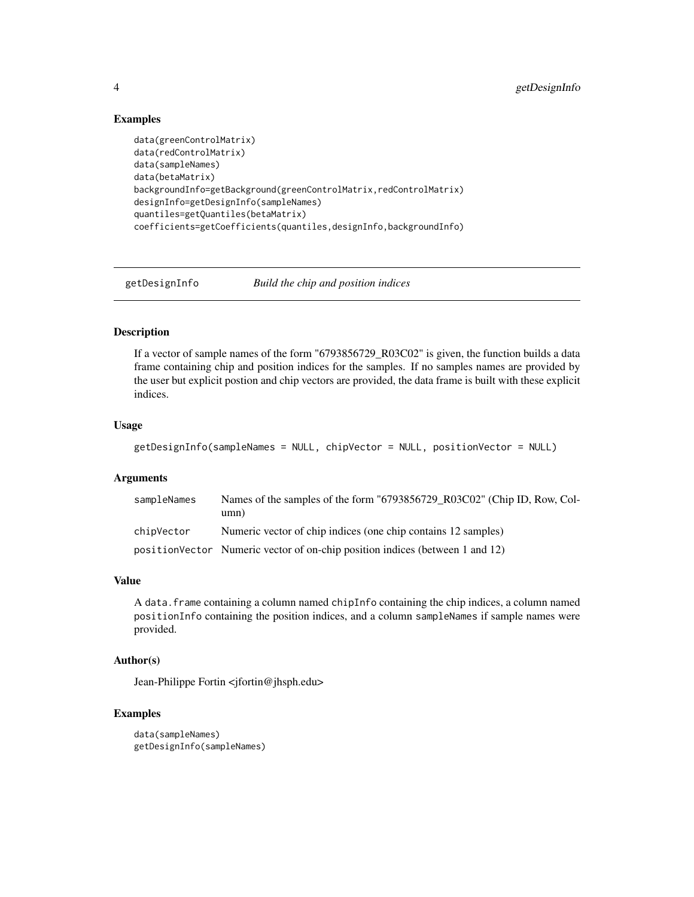# Examples

```
data(greenControlMatrix)
data(redControlMatrix)
data(sampleNames)
data(betaMatrix)
backgroundInfo=getBackground(greenControlMatrix,redControlMatrix)
designInfo=getDesignInfo(sampleNames)
quantiles=getQuantiles(betaMatrix)
coefficients=getCoefficients(quantiles,designInfo,backgroundInfo)
```
<span id="page-3-1"></span>getDesignInfo *Build the chip and position indices*

#### Description

If a vector of sample names of the form "6793856729\_R03C02" is given, the function builds a data frame containing chip and position indices for the samples. If no samples names are provided by the user but explicit postion and chip vectors are provided, the data frame is built with these explicit indices.

#### Usage

```
getDesignInfo(sampleNames = NULL, chipVector = NULL, positionVector = NULL)
```
#### Arguments

| sampleNames | Names of the samples of the form "6793856729 R03C02" (Chip ID, Row, Col-<br>umn) |
|-------------|----------------------------------------------------------------------------------|
| chipVector  | Numeric vector of chip indices (one chip contains 12 samples)                    |
|             | position Vector Numeric vector of on-chip position indices (between 1 and 12)    |

# Value

A data.frame containing a column named chipInfo containing the chip indices, a column named positionInfo containing the position indices, and a column sampleNames if sample names were provided.

#### Author(s)

Jean-Philippe Fortin <jfortin@jhsph.edu>

```
data(sampleNames)
getDesignInfo(sampleNames)
```
<span id="page-3-0"></span>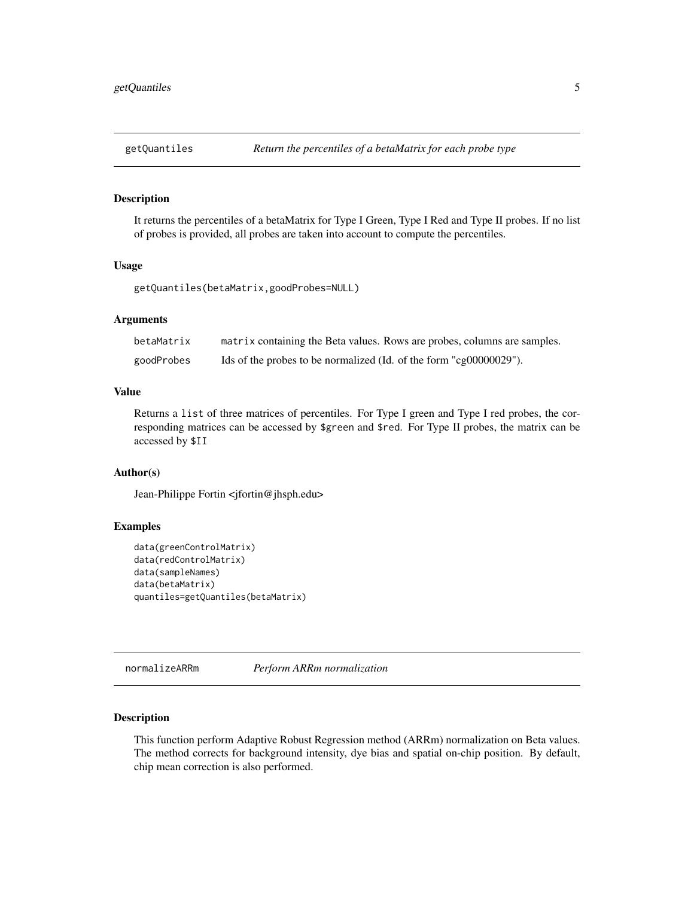<span id="page-4-1"></span><span id="page-4-0"></span>

# Description

It returns the percentiles of a betaMatrix for Type I Green, Type I Red and Type II probes. If no list of probes is provided, all probes are taken into account to compute the percentiles.

#### Usage

getQuantiles(betaMatrix,goodProbes=NULL)

#### Arguments

| betaMatrix | matrix containing the Beta values. Rows are probes, columns are samples. |
|------------|--------------------------------------------------------------------------|
| goodProbes | Ids of the probes to be normalized (Id. of the form "cg00000029").       |

# Value

Returns a list of three matrices of percentiles. For Type I green and Type I red probes, the corresponding matrices can be accessed by \$green and \$red. For Type II probes, the matrix can be accessed by \$II

# Author(s)

Jean-Philippe Fortin <jfortin@jhsph.edu>

#### Examples

```
data(greenControlMatrix)
data(redControlMatrix)
data(sampleNames)
data(betaMatrix)
quantiles=getQuantiles(betaMatrix)
```
normalizeARRm *Perform ARRm normalization*

# Description

This function perform Adaptive Robust Regression method (ARRm) normalization on Beta values. The method corrects for background intensity, dye bias and spatial on-chip position. By default, chip mean correction is also performed.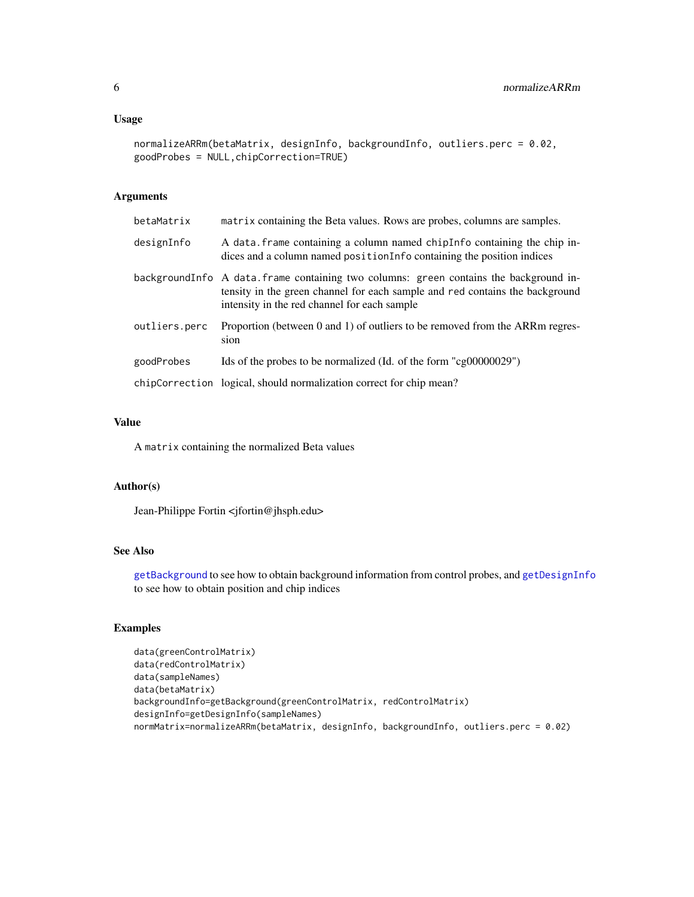#### <span id="page-5-0"></span>Usage

```
normalizeARRm(betaMatrix, designInfo, backgroundInfo, outliers.perc = 0.02,
goodProbes = NULL,chipCorrection=TRUE)
```
#### Arguments

| betaMatrix    | matrix containing the Beta values. Rows are probes, columns are samples.                                                                                                                                               |
|---------------|------------------------------------------------------------------------------------------------------------------------------------------------------------------------------------------------------------------------|
| designInfo    | A data. frame containing a column named chipInfo containing the chip in-<br>dices and a column named position Info containing the position indices                                                                     |
|               | backgroundInfo A data. frame containing two columns: green contains the background in-<br>tensity in the green channel for each sample and red contains the background<br>intensity in the red channel for each sample |
| outliers.perc | Proportion (between 0 and 1) of outliers to be removed from the ARRm regres-<br>sion                                                                                                                                   |
| goodProbes    | Ids of the probes to be normalized (Id. of the form $"cg00000029"$ )                                                                                                                                                   |
|               | chipCorrection logical, should normalization correct for chip mean?                                                                                                                                                    |

#### Value

A matrix containing the normalized Beta values

# Author(s)

Jean-Philippe Fortin <jfortin@jhsph.edu>

# See Also

[getBackground](#page-1-1) to see how to obtain background information from control probes, and [getDesignInfo](#page-3-1) to see how to obtain position and chip indices

```
data(greenControlMatrix)
data(redControlMatrix)
data(sampleNames)
data(betaMatrix)
backgroundInfo=getBackground(greenControlMatrix, redControlMatrix)
designInfo=getDesignInfo(sampleNames)
normMatrix=normalizeARRm(betaMatrix, designInfo, backgroundInfo, outliers.perc = 0.02)
```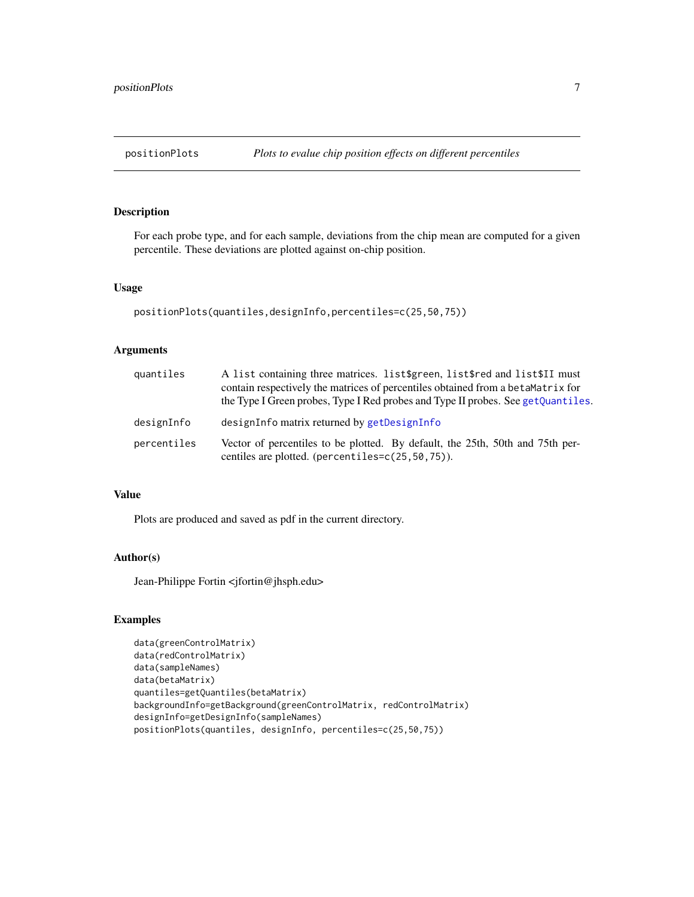<span id="page-6-0"></span>

# Description

For each probe type, and for each sample, deviations from the chip mean are computed for a given percentile. These deviations are plotted against on-chip position.

#### Usage

```
positionPlots(quantiles,designInfo,percentiles=c(25,50,75))
```
# Arguments

| quantiles   | A list containing three matrices. list\$green, list\$red and list\$II must<br>contain respectively the matrices of percentiles obtained from a betaMatrix for<br>the Type I Green probes, Type I Red probes and Type II probes. See getQuantiles. |
|-------------|---------------------------------------------------------------------------------------------------------------------------------------------------------------------------------------------------------------------------------------------------|
| designInfo  | designInfo matrix returned by getDesignInfo                                                                                                                                                                                                       |
| percentiles | Vector of percentiles to be plotted. By default, the 25th, 50th and 75th per-<br>centiles are plotted. (percentiles=c(25,50,75)).                                                                                                                 |

# Value

Plots are produced and saved as pdf in the current directory.

# Author(s)

Jean-Philippe Fortin <jfortin@jhsph.edu>

```
data(greenControlMatrix)
data(redControlMatrix)
data(sampleNames)
data(betaMatrix)
quantiles=getQuantiles(betaMatrix)
backgroundInfo=getBackground(greenControlMatrix, redControlMatrix)
designInfo=getDesignInfo(sampleNames)
positionPlots(quantiles, designInfo, percentiles=c(25,50,75))
```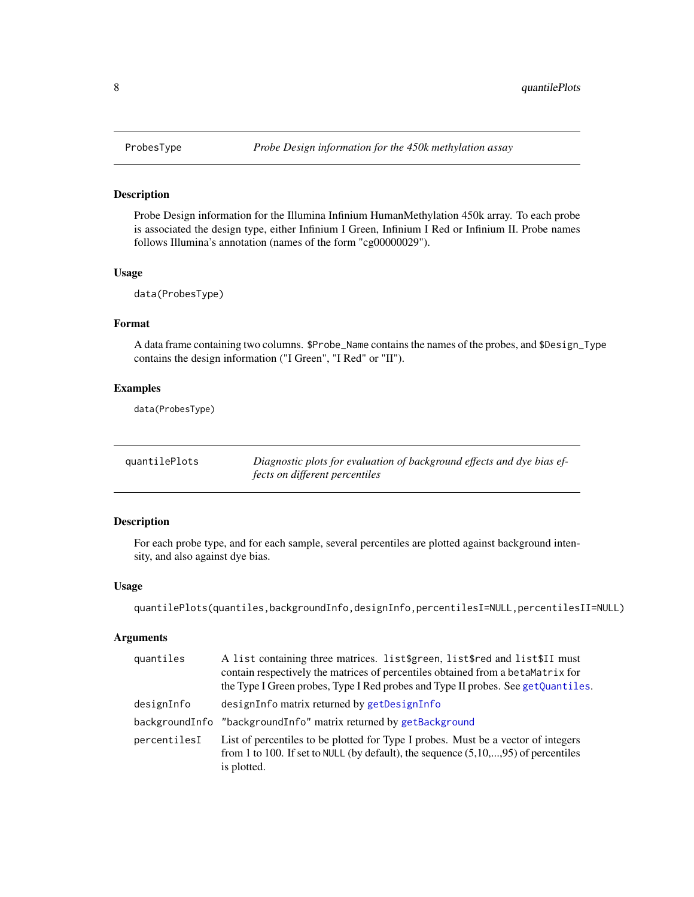#### Description

Probe Design information for the Illumina Infinium HumanMethylation 450k array. To each probe is associated the design type, either Infinium I Green, Infinium I Red or Infinium II. Probe names follows Illumina's annotation (names of the form "cg00000029").

#### Usage

data(ProbesType)

# Format

A data frame containing two columns. \$Probe\_Name contains the names of the probes, and \$Design\_Type contains the design information ("I Green", "I Red" or "II").

#### Examples

data(ProbesType)

| quantilePlots | Diagnostic plots for evaluation of background effects and dye bias ef- |
|---------------|------------------------------------------------------------------------|
|               | <i>fects on different percentiles</i>                                  |

# Description

For each probe type, and for each sample, several percentiles are plotted against background intensity, and also against dye bias.

# Usage

```
quantilePlots(quantiles,backgroundInfo,designInfo,percentilesI=NULL,percentilesII=NULL)
```
# Arguments

| quantiles    | A list containing three matrices. list\$green, list\$red and list\$II must<br>contain respectively the matrices of percentiles obtained from a betaMatrix for<br>the Type I Green probes, Type I Red probes and Type II probes. See getQuantiles. |
|--------------|---------------------------------------------------------------------------------------------------------------------------------------------------------------------------------------------------------------------------------------------------|
| designInfo   | designInfo matrix returned by getDesignInfo                                                                                                                                                                                                       |
|              | backgroundInfo "backgroundInfo" matrix returned by getBackground                                                                                                                                                                                  |
| percentilesI | List of percentiles to be plotted for Type I probes. Must be a vector of integers<br>from 1 to 100. If set to NULL (by default), the sequence $(5,10,,95)$ of percentiles<br>is plotted.                                                          |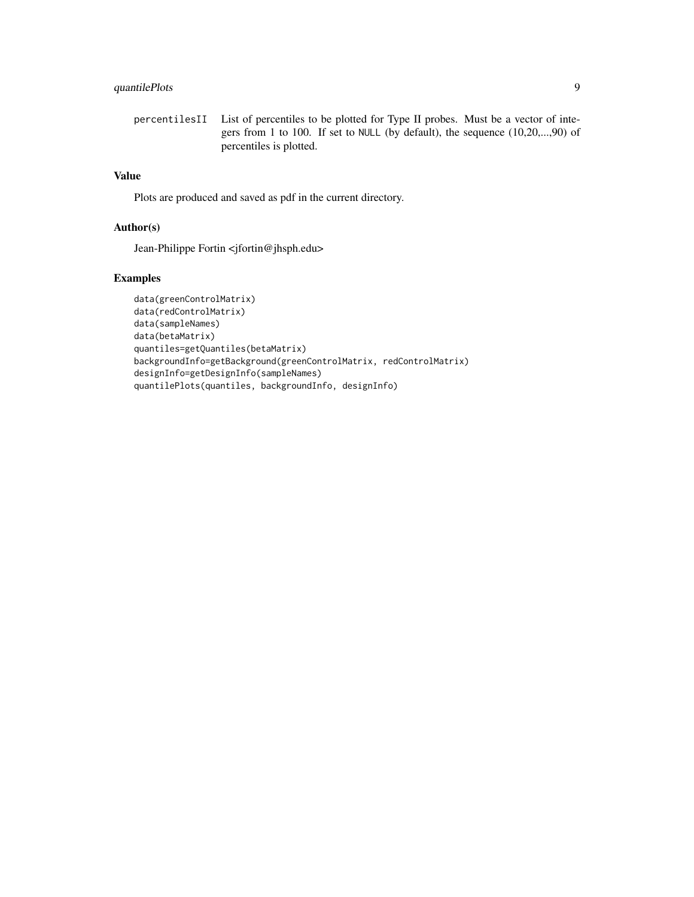# quantilePlots 9

percentilesII List of percentiles to be plotted for Type II probes. Must be a vector of integers from 1 to 100. If set to NULL (by default), the sequence (10,20,...,90) of percentiles is plotted.

# Value

Plots are produced and saved as pdf in the current directory.

#### Author(s)

Jean-Philippe Fortin <jfortin@jhsph.edu>

```
data(greenControlMatrix)
data(redControlMatrix)
data(sampleNames)
data(betaMatrix)
quantiles=getQuantiles(betaMatrix)
backgroundInfo=getBackground(greenControlMatrix, redControlMatrix)
designInfo=getDesignInfo(sampleNames)
quantilePlots(quantiles, backgroundInfo, designInfo)
```